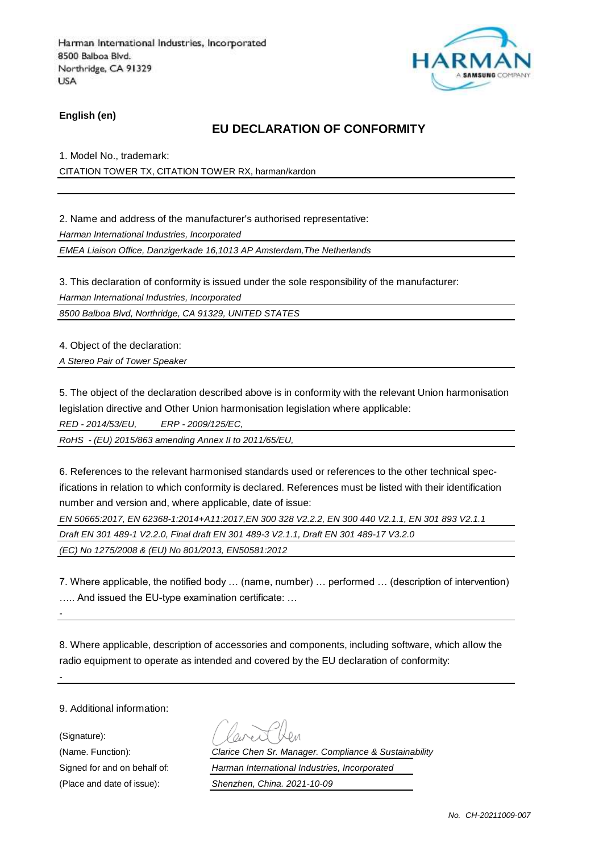

**English (en)**

### **EU DECLARATION OF CONFORMITY**

1. Model No., trademark: CITATION TOWER TX, CITATION TOWER RX, harman/kardon

2. Name and address of the manufacturer's authorised representative: *Harman International Industries, Incorporated*

*EMEA Liaison Office, Danzigerkade 16,1013 AP Amsterdam,The Netherlands*

3. This declaration of conformity is issued under the sole responsibility of the manufacturer:

*Harman International Industries, Incorporated*

*8500 Balboa Blvd, Northridge, CA 91329, UNITED STATES*

4. Object of the declaration:

*A Stereo Pair of Tower Speaker* 

5. The object of the declaration described above is in conformity with the relevant Union harmonisation legislation directive and Other Union harmonisation legislation where applicable:

*RED - 2014/53/EU, ERP - 2009/125/EC,*

*RoHS - (EU) 2015/863 amending Annex II to 2011/65/EU,*

6. References to the relevant harmonised standards used or references to the other technical specifications in relation to which conformity is declared. References must be listed with their identification number and version and, where applicable, date of issue:

*EN 50665:2017, EN 62368-1:2014+A11:2017,EN 300 328 V2.2.2, EN 300 440 V2.1.1, EN 301 893 V2.1.1* 

*Draft EN 301 489-1 V2.2.0, Final draft EN 301 489-3 V2.1.1, Draft EN 301 489-17 V3.2.0* 

*(EC) No 1275/2008 & (EU) No 801/2013, EN50581:2012* 

7. Where applicable, the notified body … (name, number) … performed … (description of intervention) ….. And issued the EU-type examination certificate: …

8. Where applicable, description of accessories and components, including software, which allow the radio equipment to operate as intended and covered by the EU declaration of conformity:

9. Additional information:

(Signature):

*-*

(Name. Function): *Clarice Chen Sr. Manager. Compliance & Sustainability* Signed for and on behalf of: *Harman International Industries, Incorporated* (Place and date of issue): *Shenzhen, China. 2021-10-09*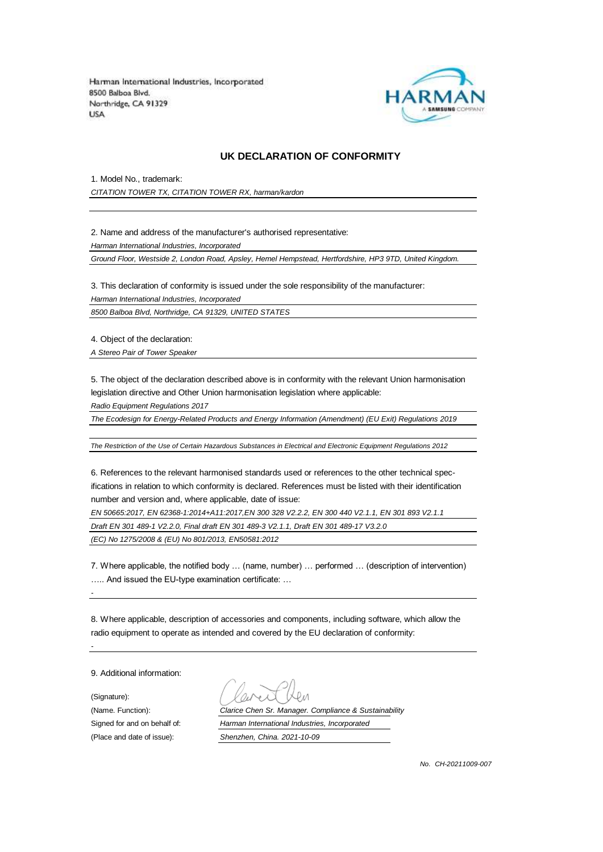

#### **UK DECLARATION OF CONFORMITY**

1. Model No., trademark:

*CITATION TOWER TX, CITATION TOWER RX, harman/kardon*

2. Name and address of the manufacturer's authorised representative:

*Harman International Industries, Incorporated*

*Ground Floor, Westside 2, London Road, Apsley, Hemel Hempstead, Hertfordshire, HP3 9TD, United Kingdom.*

3. This declaration of conformity is issued under the sole responsibility of the manufacturer:

*Harman International Industries, Incorporated*

*8500 Balboa Blvd, Northridge, CA 91329, UNITED STATES*

4. Object of the declaration:

*A Stereo Pair of Tower Speaker* 

5. The object of the declaration described above is in conformity with the relevant Union harmonisation legislation directive and Other Union harmonisation legislation where applicable:

*Radio Equipment Regulations 2017*

*The Ecodesign for Energy-Related Products and Energy Information (Amendment) (EU Exit) Regulations 2019*

*The Restriction of the Use of Certain Hazardous Substances in Electrical and Electronic Equipment Regulations 2012*

6. References to the relevant harmonised standards used or references to the other technical specifications in relation to which conformity is declared. References must be listed with their identification number and version and, where applicable, date of issue:

*EN 50665:2017, EN 62368-1:2014+A11:2017,EN 300 328 V2.2.2, EN 300 440 V2.1.1, EN 301 893 V2.1.1* 

*Draft EN 301 489-1 V2.2.0, Final draft EN 301 489-3 V2.1.1, Draft EN 301 489-17 V3.2.0* 

*(EC) No 1275/2008 & (EU) No 801/2013, EN50581:2012* 

7. Where applicable, the notified body … (name, number) … performed … (description of intervention) ….. And issued the EU-type examination certificate: …

8. Where applicable, description of accessories and components, including software, which allow the radio equipment to operate as intended and covered by the EU declaration of conformity:

9. Additional information:

*-*

*-*

(Signature): (Place and date of issue): *Shenzhen, China. 2021-10-09*

(Name. Function): *Clarice Chen Sr. Manager. Compliance & Sustainability* Signed for and on behalf of: *Harman International Industries, Incorporated*

*No. CH-20211009-007*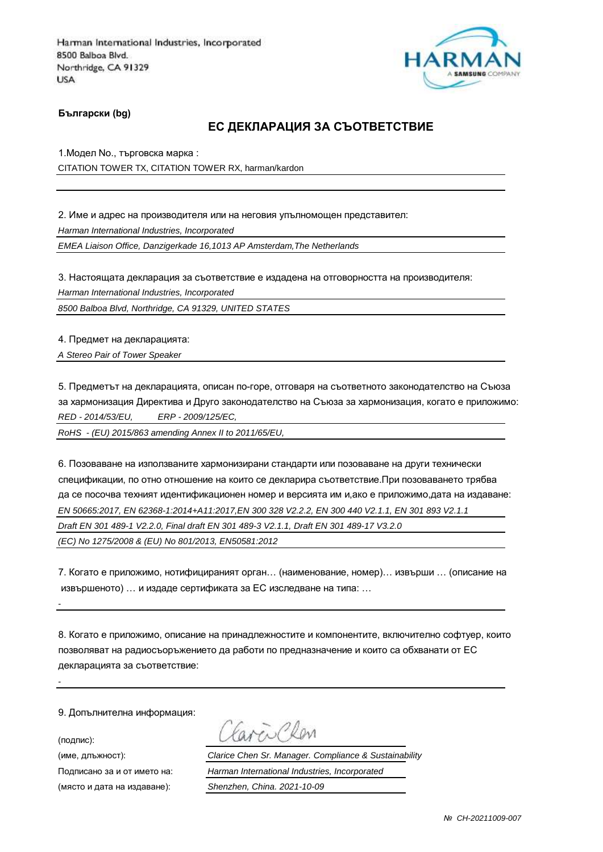

**Български (bg)**

### **ЕС ДЕКЛАРАЦИЯ ЗА СЪОТВЕТСТВИЕ**

1.Модел No., търговска марка : CITATION TOWER TX, CITATION TOWER RX, harman/kardon

2. Име и адрес на производителя или на неговия упълномощен представител: *Harman International Industries, Incorporated*

*EMEA Liaison Office, Danzigerkade 16,1013 AP Amsterdam,The Netherlands*

3. Настоящата декларация за съответствие е издадена на отговорността на производителя:

*Harman International Industries, Incorporated*

*8500 Balboa Blvd, Northridge, CA 91329, UNITED STATES*

4. Предмет на декларацията:

*A Stereo Pair of Tower Speaker* 

5. Предметът на декларацията, описан по-горе, отговаря на съответното законодателство на Съюза за хармонизация Директива и Друго законодателство на Съюза за хармонизация, когато е приложимо: *RED - 2014/53/EU, ERP - 2009/125/EC,*

*RoHS - (EU) 2015/863 amending Annex II to 2011/65/EU,*

6. Позоваване на използваните хармонизирани стандарти или позоваване на други технически спецификации, по отно отношение на които се декларира съответствие.При позоваването трябва да се посочва техният идентификационен номер и версията им и,ако е приложимо,дата на издаване: *EN 50665:2017, EN 62368-1:2014+A11:2017,EN 300 328 V2.2.2, EN 300 440 V2.1.1, EN 301 893 V2.1.1 Draft EN 301 489-1 V2.2.0, Final draft EN 301 489-3 V2.1.1, Draft EN 301 489-17 V3.2.0 (EC) No 1275/2008 & (EU) No 801/2013, EN50581:2012* 

7. Когато е приложимо, нотифицираният орган… (наименование, номер)… извърши … (описание на извършеното) … и издаде сертификата за ЕС изследване на типа: …

8. Когато е приложимо, описание на принадлежностите и компонентите, включително софтуер, които позволяват на радиосъоръжението да работи по предназначение и които са обхванати от ЕС декларацията за съответствие:

9. Допълнителна информация:

(подпис):

*-*

arrio

(име, длъжност): *Clarice Chen Sr. Manager. Compliance & Sustainability* Подписано за и от името на: *Harman International Industries, Incorporated* (място и дата на издаване): *Shenzhen, China. 2021-10-09*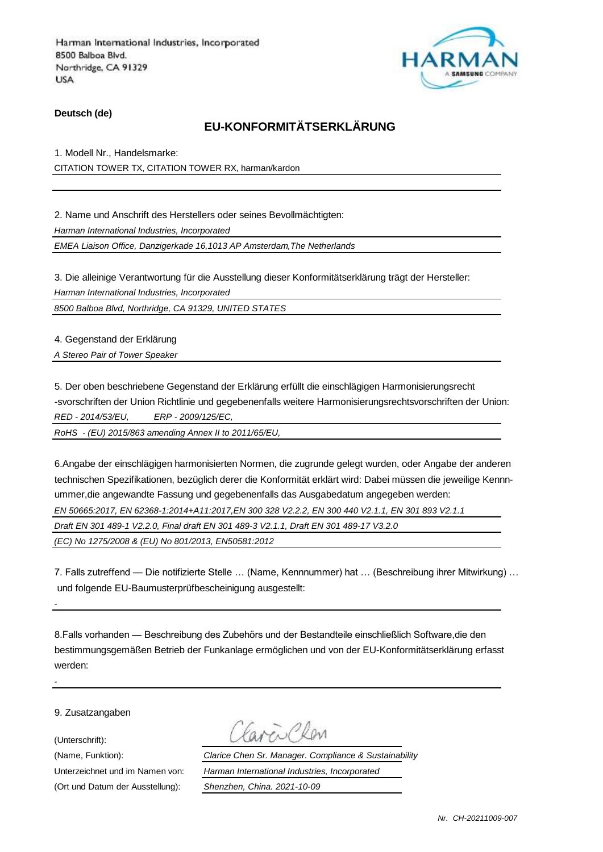

**Deutsch (de)**

## **EU-KONFORMITÄTSERKLÄRUNG**

1. Modell Nr., Handelsmarke: CITATION TOWER TX, CITATION TOWER RX, harman/kardon

2. Name und Anschrift des Herstellers oder seines Bevollmächtigten:

*Harman International Industries, Incorporated*

*EMEA Liaison Office, Danzigerkade 16,1013 AP Amsterdam,The Netherlands*

3. Die alleinige Verantwortung für die Ausstellung dieser Konformitätserklärung trägt der Hersteller:

*Harman International Industries, Incorporated*

*8500 Balboa Blvd, Northridge, CA 91329, UNITED STATES*

4. Gegenstand der Erklärung

*A Stereo Pair of Tower Speaker* 

5. Der oben beschriebene Gegenstand der Erklärung erfüllt die einschlägigen Harmonisierungsrecht -svorschriften der Union Richtlinie und gegebenenfalls weitere Harmonisierungsrechtsvorschriften der Union: *RED - 2014/53/EU, ERP - 2009/125/EC,*

*RoHS - (EU) 2015/863 amending Annex II to 2011/65/EU,*

6.Angabe der einschlägigen harmonisierten Normen, die zugrunde gelegt wurden, oder Angabe der anderen technischen Spezifikationen, bezüglich derer die Konformität erklärt wird: Dabei müssen die jeweilige Kennnummer,die angewandte Fassung und gegebenenfalls das Ausgabedatum angegeben werden: *EN 50665:2017, EN 62368-1:2014+A11:2017,EN 300 328 V2.2.2, EN 300 440 V2.1.1, EN 301 893 V2.1.1 Draft EN 301 489-1 V2.2.0, Final draft EN 301 489-3 V2.1.1, Draft EN 301 489-17 V3.2.0 (EC) No 1275/2008 & (EU) No 801/2013, EN50581:2012* 

7. Falls zutreffend — Die notifizierte Stelle … (Name, Kennnummer) hat … (Beschreibung ihrer Mitwirkung) … und folgende EU-Baumusterprüfbescheinigung ausgestellt:

8.Falls vorhanden — Beschreibung des Zubehörs und der Bestandteile einschließlich Software,die den bestimmungsgemäßen Betrieb der Funkanlage ermöglichen und von der EU-Konformitätserklärung erfasst werden:

9. Zusatzangaben

(Unterschrift):

*-*

*-*

(Ort und Datum der Ausstellung): *Shenzhen, China. 2021-10-09*

avenClew

(Name, Funktion): *Clarice Chen Sr. Manager. Compliance & Sustainability* Unterzeichnet und im Namen von: *Harman International Industries, Incorporated*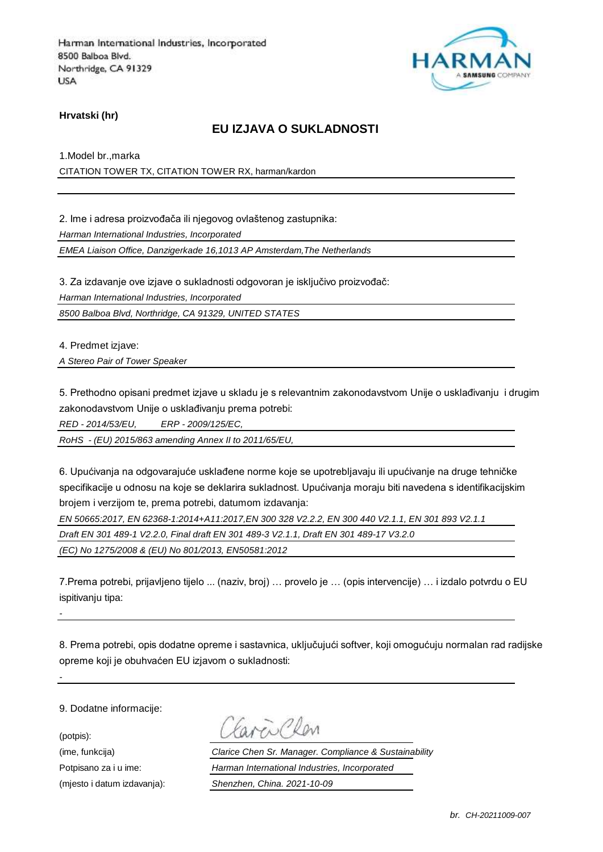

**Hrvatski (hr)**

### **EU IZJAVA O SUKLADNOSTI**

1.Model br.,marka CITATION TOWER TX, CITATION TOWER RX, harman/kardon

2. Ime i adresa proizvođača ili njegovog ovlaštenog zastupnika:

*Harman International Industries, Incorporated*

*EMEA Liaison Office, Danzigerkade 16,1013 AP Amsterdam,The Netherlands*

3. Za izdavanje ove izjave o sukladnosti odgovoran je isključivo proizvođač:

*Harman International Industries, Incorporated*

*8500 Balboa Blvd, Northridge, CA 91329, UNITED STATES*

4. Predmet izjave:

*A Stereo Pair of Tower Speaker* 

5. Prethodno opisani predmet izjave u skladu je s relevantnim zakonodavstvom Unije o usklađivanju i drugim zakonodavstvom Unije o usklađivanju prema potrebi:

*RED - 2014/53/EU, ERP - 2009/125/EC,*

*RoHS - (EU) 2015/863 amending Annex II to 2011/65/EU,*

6. Upućivanja na odgovarajuće usklađene norme koje se upotrebljavaju ili upućivanje na druge tehničke specifikacije u odnosu na koje se deklarira sukladnost. Upućivanja moraju biti navedena s identifikacijskim brojem i verzijom te, prema potrebi, datumom izdavanja:

*EN 50665:2017, EN 62368-1:2014+A11:2017,EN 300 328 V2.2.2, EN 300 440 V2.1.1, EN 301 893 V2.1.1* 

*Draft EN 301 489-1 V2.2.0, Final draft EN 301 489-3 V2.1.1, Draft EN 301 489-17 V3.2.0* 

*(EC) No 1275/2008 & (EU) No 801/2013, EN50581:2012* 

7.Prema potrebi, prijavljeno tijelo ... (naziv, broj) … provelo je … (opis intervencije) … i izdalo potvrdu o EU ispitivanju tipa:

8. Prema potrebi, opis dodatne opreme i sastavnica, uključujući softver, koji omogućuju normalan rad radijske opreme koji je obuhvaćen EU izjavom o sukladnosti:

9. Dodatne informacije:

(potpis):

*-*

avenCher

(ime, funkcija) *Clarice Chen Sr. Manager. Compliance & Sustainability* Potpisano za i u ime: *Harman International Industries, Incorporated* (mjesto i datum izdavanja): *Shenzhen, China. 2021-10-09*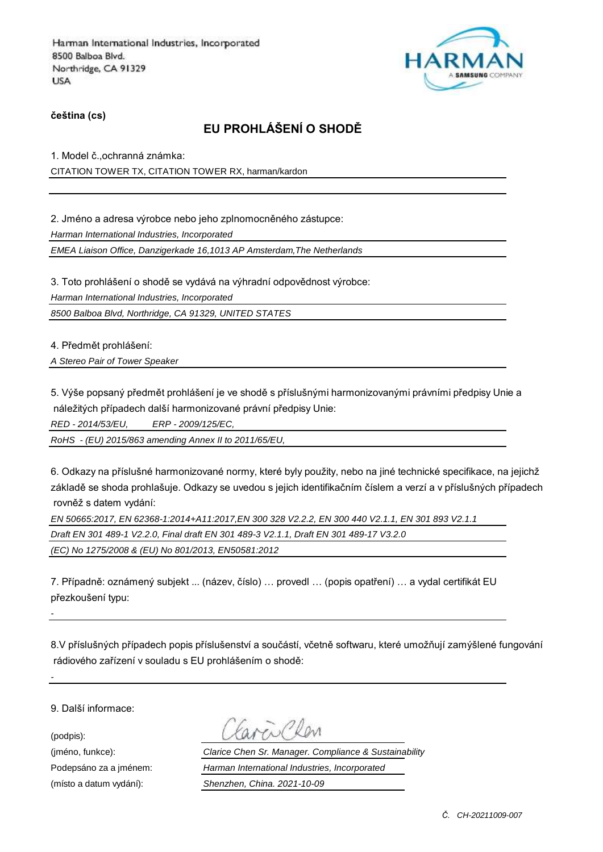

**čeština (cs)**

# **EU PROHLÁŠENÍ O SHODĚ**

1. Model č.,ochranná známka: CITATION TOWER TX, CITATION TOWER RX, harman/kardon

2. Jméno a adresa výrobce nebo jeho zplnomocněného zástupce:

*Harman International Industries, Incorporated*

*EMEA Liaison Office, Danzigerkade 16,1013 AP Amsterdam,The Netherlands*

3. Toto prohlášení o shodě se vydává na výhradní odpovědnost výrobce:

*Harman International Industries, Incorporated*

*8500 Balboa Blvd, Northridge, CA 91329, UNITED STATES*

4. Předmět prohlášení:

*A Stereo Pair of Tower Speaker* 

5. Výše popsaný předmět prohlášení je ve shodě s příslušnými harmonizovanými právními předpisy Unie a náležitých případech další harmonizované právní předpisy Unie:

*RED - 2014/53/EU, ERP - 2009/125/EC,*

*RoHS - (EU) 2015/863 amending Annex II to 2011/65/EU,*

6. Odkazy na příslušné harmonizované normy, které byly použity, nebo na jiné technické specifikace, na jejichž základě se shoda prohlašuje. Odkazy se uvedou s jejich identifikačním číslem a verzí a v příslušných případech rovněž s datem vydání:

*EN 50665:2017, EN 62368-1:2014+A11:2017,EN 300 328 V2.2.2, EN 300 440 V2.1.1, EN 301 893 V2.1.1* 

*Draft EN 301 489-1 V2.2.0, Final draft EN 301 489-3 V2.1.1, Draft EN 301 489-17 V3.2.0* 

*(EC) No 1275/2008 & (EU) No 801/2013, EN50581:2012* 

7. Případně: oznámený subjekt ... (název, číslo) … provedl … (popis opatření) … a vydal certifikát EU přezkoušení typu:

8.V příslušných případech popis příslušenství a součástí, včetně softwaru, které umožňují zamýšlené fungování rádiového zařízení v souladu s EU prohlášením o shodě:

9. Další informace:

(podpis):

*-*

(jméno, funkce): *Clarice Chen Sr. Manager. Compliance & Sustainability* Podepsáno za a jménem: *Harman International Industries, Incorporated* (místo a datum vydání): *Shenzhen, China. 2021-10-09*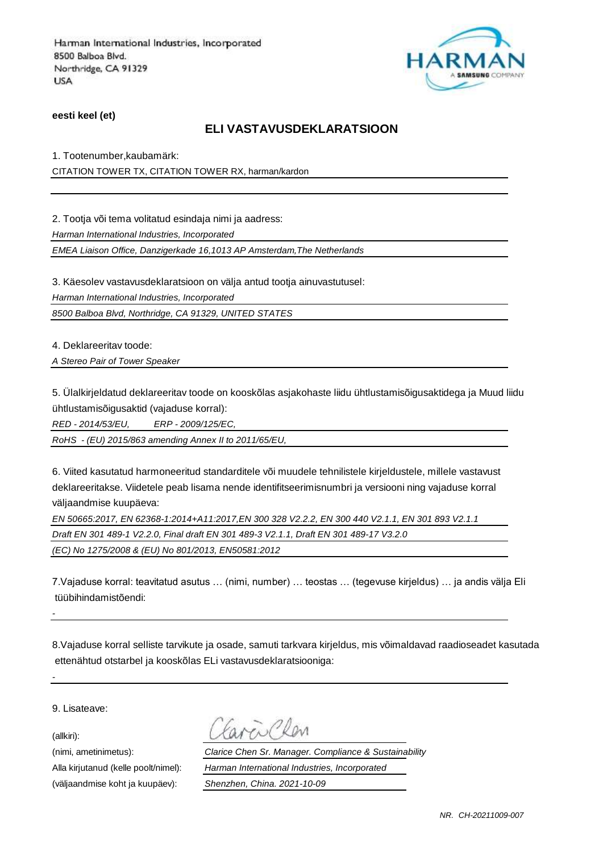

**eesti keel (et)**

### **ELI VASTAVUSDEKLARATSIOON**

1. Tootenumber,kaubamärk: CITATION TOWER TX, CITATION TOWER RX, harman/kardon

2. Tootja või tema volitatud esindaja nimi ja aadress:

*Harman International Industries, Incorporated*

*EMEA Liaison Office, Danzigerkade 16,1013 AP Amsterdam,The Netherlands*

3. Käesolev vastavusdeklaratsioon on välja antud tootja ainuvastutusel:

*Harman International Industries, Incorporated*

*8500 Balboa Blvd, Northridge, CA 91329, UNITED STATES*

4. Deklareeritav toode:

*A Stereo Pair of Tower Speaker* 

5. Ülalkirjeldatud deklareeritav toode on kooskõlas asjakohaste liidu ühtlustamisõigusaktidega ja Muud liidu ühtlustamisõigusaktid (vajaduse korral):

*RED - 2014/53/EU, ERP - 2009/125/EC,*

*RoHS - (EU) 2015/863 amending Annex II to 2011/65/EU,*

6. Viited kasutatud harmoneeritud standarditele või muudele tehnilistele kirjeldustele, millele vastavust deklareeritakse. Viidetele peab lisama nende identifitseerimisnumbri ja versiooni ning vajaduse korral väljaandmise kuupäeva:

*EN 50665:2017, EN 62368-1:2014+A11:2017,EN 300 328 V2.2.2, EN 300 440 V2.1.1, EN 301 893 V2.1.1 Draft EN 301 489-1 V2.2.0, Final draft EN 301 489-3 V2.1.1, Draft EN 301 489-17 V3.2.0 (EC) No 1275/2008 & (EU) No 801/2013, EN50581:2012* 

7.Vajaduse korral: teavitatud asutus … (nimi, number) … teostas … (tegevuse kirjeldus) … ja andis välja Eli tüübihindamistõendi:

8.Vajaduse korral selliste tarvikute ja osade, samuti tarkvara kirjeldus, mis võimaldavad raadioseadet kasutada ettenähtud otstarbel ja kooskõlas ELi vastavusdeklaratsiooniga:

9. Lisateave:

(allkiri):

*-*

(nimi, ametinimetus): *Clarice Chen Sr. Manager. Compliance & Sustainability* Alla kirjutanud (kelle poolt/nimel): *Harman International Industries, Incorporated* (väljaandmise koht ja kuupäev): *Shenzhen, China. 2021-10-09*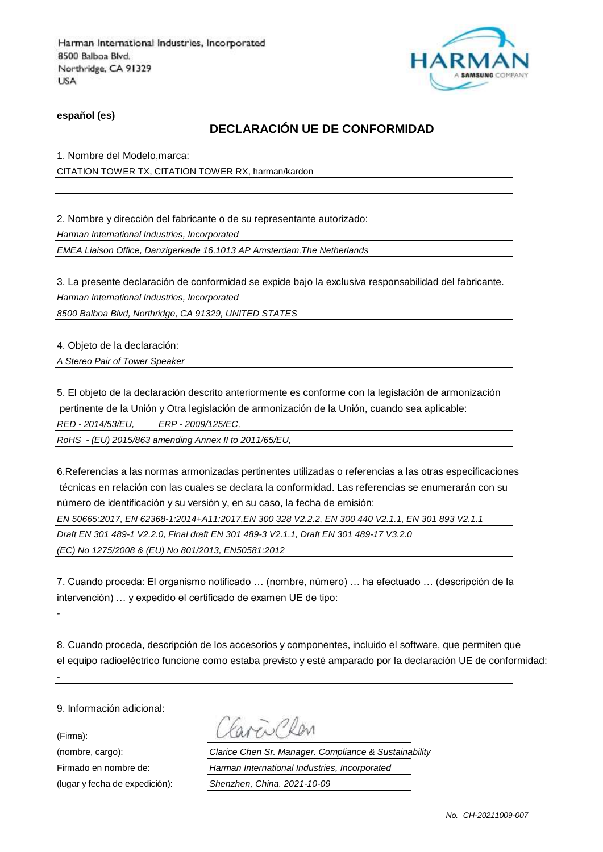

**español (es)**

## **DECLARACIÓN UE DE CONFORMIDAD**

1. Nombre del Modelo,marca: CITATION TOWER TX, CITATION TOWER RX, harman/kardon

2. Nombre y dirección del fabricante o de su representante autorizado: *Harman International Industries, Incorporated EMEA Liaison Office, Danzigerkade 16,1013 AP Amsterdam,The Netherlands*

3. La presente declaración de conformidad se expide bajo la exclusiva responsabilidad del fabricante. *Harman International Industries, Incorporated*

*8500 Balboa Blvd, Northridge, CA 91329, UNITED STATES*

4. Objeto de la declaración:

*A Stereo Pair of Tower Speaker* 

5. El objeto de la declaración descrito anteriormente es conforme con la legislación de armonización pertinente de la Unión y Otra legislación de armonización de la Unión, cuando sea aplicable:

*RED - 2014/53/EU, ERP - 2009/125/EC,*

*RoHS - (EU) 2015/863 amending Annex II to 2011/65/EU,*

6.Referencias a las normas armonizadas pertinentes utilizadas o referencias a las otras especificaciones técnicas en relación con las cuales se declara la conformidad. Las referencias se enumerarán con su número de identificación y su versión y, en su caso, la fecha de emisión:

*EN 50665:2017, EN 62368-1:2014+A11:2017,EN 300 328 V2.2.2, EN 300 440 V2.1.1, EN 301 893 V2.1.1* 

*Draft EN 301 489-1 V2.2.0, Final draft EN 301 489-3 V2.1.1, Draft EN 301 489-17 V3.2.0* 

*(EC) No 1275/2008 & (EU) No 801/2013, EN50581:2012* 

7. Cuando proceda: El organismo notificado … (nombre, número) … ha efectuado … (descripción de la intervención) … y expedido el certificado de examen UE de tipo:

8. Cuando proceda, descripción de los accesorios y componentes, incluido el software, que permiten que el equipo radioeléctrico funcione como estaba previsto y esté amparado por la declaración UE de conformidad:

9. Información adicional:

(Firma):

*-*

(nombre, cargo): *Clarice Chen Sr. Manager. Compliance & Sustainability* Firmado en nombre de: *Harman International Industries, Incorporated* (lugar y fecha de expedición): *Shenzhen, China. 2021-10-09*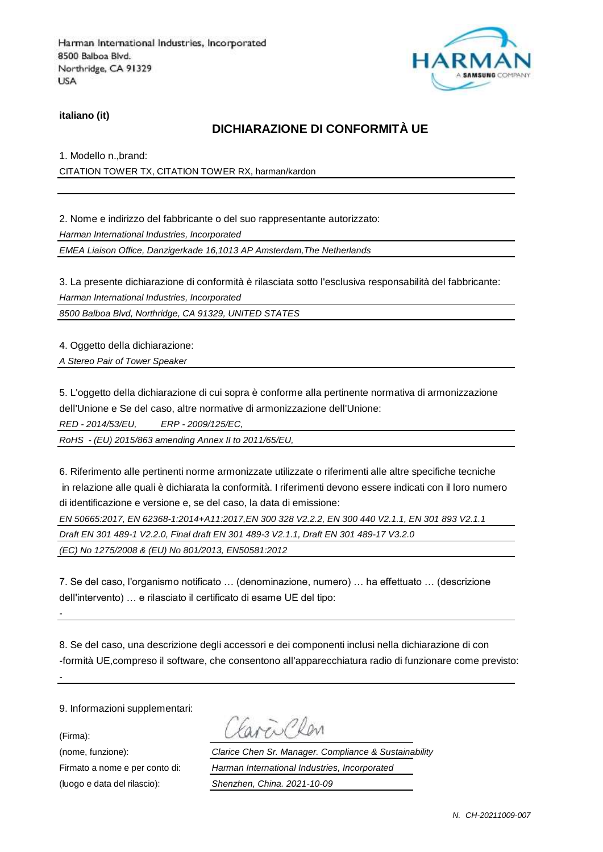

**italiano (it)**

### **DICHIARAZIONE DI CONFORMITÀ UE**

1. Modello n.,brand:

CITATION TOWER TX, CITATION TOWER RX, harman/kardon

2. Nome e indirizzo del fabbricante o del suo rappresentante autorizzato: *Harman International Industries, Incorporated*

*EMEA Liaison Office, Danzigerkade 16,1013 AP Amsterdam,The Netherlands*

3. La presente dichiarazione di conformità è rilasciata sotto l'esclusiva responsabilità del fabbricante: *Harman International Industries, Incorporated*

*8500 Balboa Blvd, Northridge, CA 91329, UNITED STATES*

4. Oggetto della dichiarazione:

*A Stereo Pair of Tower Speaker* 

5. L'oggetto della dichiarazione di cui sopra è conforme alla pertinente normativa di armonizzazione dell'Unione e Se del caso, altre normative di armonizzazione dell'Unione:

*RED - 2014/53/EU, ERP - 2009/125/EC,*

*RoHS - (EU) 2015/863 amending Annex II to 2011/65/EU,*

6. Riferimento alle pertinenti norme armonizzate utilizzate o riferimenti alle altre specifiche tecniche in relazione alle quali è dichiarata la conformità. I riferimenti devono essere indicati con il loro numero di identificazione e versione e, se del caso, la data di emissione:

*EN 50665:2017, EN 62368-1:2014+A11:2017,EN 300 328 V2.2.2, EN 300 440 V2.1.1, EN 301 893 V2.1.1* 

*Draft EN 301 489-1 V2.2.0, Final draft EN 301 489-3 V2.1.1, Draft EN 301 489-17 V3.2.0* 

*(EC) No 1275/2008 & (EU) No 801/2013, EN50581:2012* 

7. Se del caso, l'organismo notificato … (denominazione, numero) … ha effettuato … (descrizione dell'intervento) … e rilasciato il certificato di esame UE del tipo:

8. Se del caso, una descrizione degli accessori e dei componenti inclusi nella dichiarazione di con -formità UE,compreso il software, che consentono all'apparecchiatura radio di funzionare come previsto:

9. Informazioni supplementari:

(Firma):

*-*

(nome, funzione): *Clarice Chen Sr. Manager. Compliance & Sustainability* Firmato a nome e per conto di: *Harman International Industries, Incorporated* (luogo e data del rilascio): *Shenzhen, China. 2021-10-09*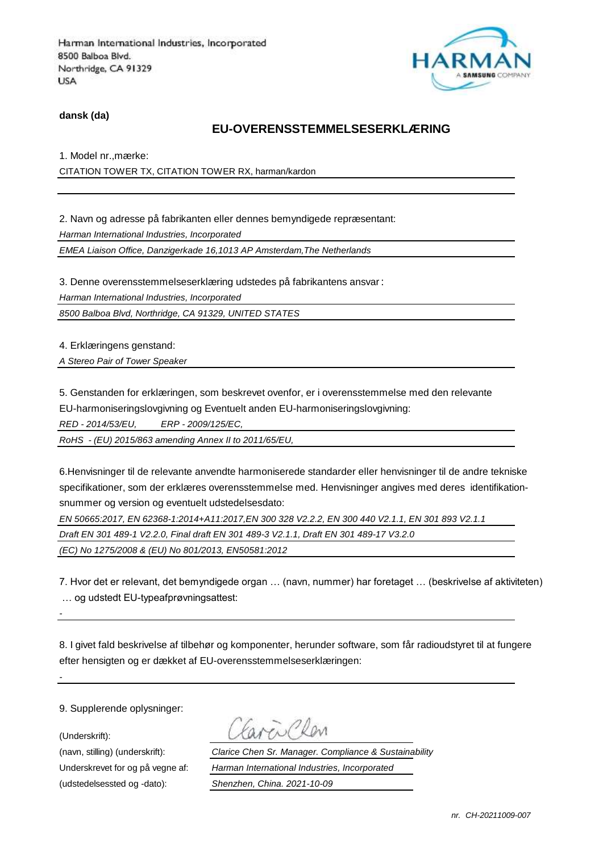

**dansk (da)**

### **EU-OVERENSSTEMMELSESERKLÆ RING**

1. Model nr.,mærke: CITATION TOWER TX, CITATION TOWER RX, harman/kardon

2. Navn og adresse på fabrikanten eller dennes bemyndigede repræsentant: *Harman International Industries, Incorporated EMEA Liaison Office, Danzigerkade 16,1013 AP Amsterdam,The Netherlands*

3. Denne overensstemmelseserklæring udstedes på fabrikantens ansvar:

*Harman International Industries, Incorporated*

*8500 Balboa Blvd, Northridge, CA 91329, UNITED STATES*

4. Erklæringens genstand:

*A Stereo Pair of Tower Speaker* 

5. Genstanden for erklæringen, som beskrevet ovenfor, er i overensstemmelse med den relevante EU-harmoniseringslovgivning og Eventuelt anden EU-harmoniseringslovgivning:

*RED - 2014/53/EU, ERP - 2009/125/EC,*

*RoHS - (EU) 2015/863 amending Annex II to 2011/65/EU,*

6.Henvisninger til de relevante anvendte harmoniserede standarder eller henvisninger til de andre tekniske specifikationer, som der erklæres overensstemmelse med. Henvisninger angives med deres identifikationsnummer og version og eventuelt udstedelsesdato:

*EN 50665:2017, EN 62368-1:2014+A11:2017,EN 300 328 V2.2.2, EN 300 440 V2.1.1, EN 301 893 V2.1.1* 

*Draft EN 301 489-1 V2.2.0, Final draft EN 301 489-3 V2.1.1, Draft EN 301 489-17 V3.2.0* 

*(EC) No 1275/2008 & (EU) No 801/2013, EN50581:2012* 

7. Hvor det er relevant, det bemyndigede organ … (navn, nummer) har foretaget … (beskrivelse af aktiviteten) … og udstedt EU-typeafprøvningsattest:

8. I givet fald beskrivelse af tilbehør og komponenter, herunder software, som får radioudstyret til at fungere efter hensigten og er dækket af EU-overensstemmelseserklæringen:

9. Supplerende oplysninger:

(Underskrift):

*-*

(navn, stilling) (underskrift): *Clarice Chen Sr. Manager. Compliance & Sustainability* Underskrevet for og på vegne af: *Harman International Industries, Incorporated* (udstedelsessted og -dato): *Shenzhen, China. 2021-10-09*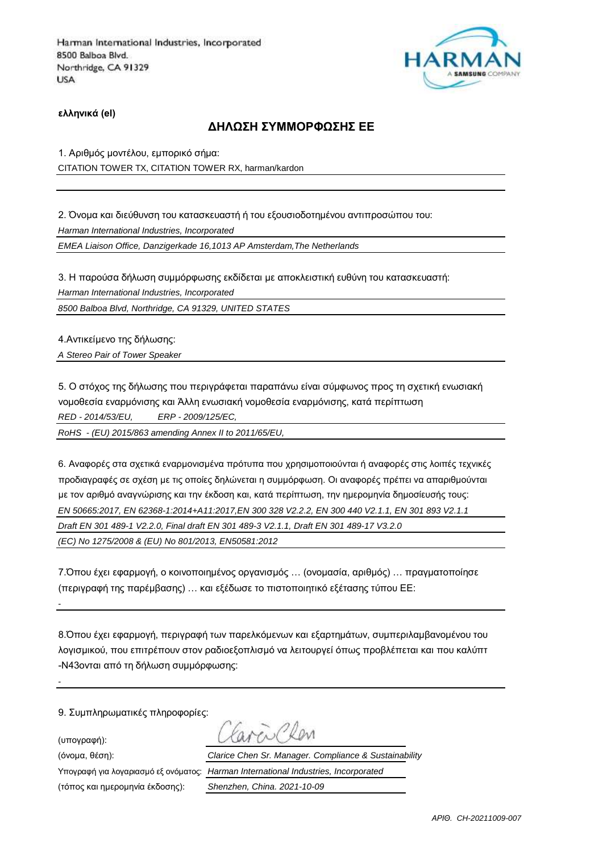

**ελληνικά (el)**

### **ΔΗΛΩΣΗ ΣΥΜΜΟΡΦΩΣΗΣ ΕΕ**

1. Αριθμός μοντέλου, εμπορικό σήμα: CITATION TOWER TX, CITATION TOWER RX, harman/kardon

2. Όνομα και διεύθυνση του κατασκευαστή ή του εξουσιοδοτημένου αντιπροσώπου του: *Harman International Industries, Incorporated*

*EMEA Liaison Office, Danzigerkade 16,1013 AP Amsterdam,The Netherlands*

3. Η παρούσα δήλωση συμμόρφωσης εκδίδεται με αποκλειστική ευθύνη του κατασκευαστή: *Harman International Industries, Incorporated*

*8500 Balboa Blvd, Northridge, CA 91329, UNITED STATES*

4.Αντικείμενο της δήλωσης:

*A Stereo Pair of Tower Speaker* 

5. Ο στόχος της δήλωσης που περιγράφεται παραπάνω είναι σύμφωνος προς τη σχετική ενωσιακή νομοθεσία εναρμόνισης και Άλλη ενωσιακή νομοθεσία εναρμόνισης, κατά περίπτωση *RED - 2014/53/EU, ERP - 2009/125/EC,*

*RoHS - (EU) 2015/863 amending Annex II to 2011/65/EU,*

6. Αναφορές στα σχετικά εναρμονισμένα πρότυπα που χρησιμοποιούνται ή αναφορές στις λοιπές τεχνικές προδιαγραφές σε σχέση με τις οποίες δηλώνεται η συμμόρφωση. Οι αναφορές πρέπει να απαριθμούνται με τον αριθμό αναγνώρισης και την έκδοση και, κατά περίπτωση, την ημερομηνία δημοσίευσής τους: *EN 50665:2017, EN 62368-1:2014+A11:2017,EN 300 328 V2.2.2, EN 300 440 V2.1.1, EN 301 893 V2.1.1 Draft EN 301 489-1 V2.2.0, Final draft EN 301 489-3 V2.1.1, Draft EN 301 489-17 V3.2.0 (EC) No 1275/2008 & (EU) No 801/2013, EN50581:2012* 

7.Όπου έχει εφαρμογή, ο κοινοποιημένος οργανισμός … (ονομασία, αριθμός) … πραγματοποίησε (περιγραφή της παρέμβασης) … και εξέδωσε το πιστοποιητικό εξέτασης τύπου ΕΕ:

8.Όπου έχει εφαρμογή, περιγραφή των παρελκόμενων και εξαρτημάτων, συμπεριλαμβανομένου του λογισμικού, που επιτρέπουν στον ραδιοεξοπλισμό να λειτουργεί όπως προβλέπεται και που καλύπτ -N43ονται από τη δήλωση συμμόρφωσης:

9. Συμπληρωματικές πληροφορίες:

(υπογραφή):

*-*

*-*

(τόπος και ημερομηνία έκδοσης): *Shenzhen, China. 2021-10-09*

(όνομα, θέση): *Clarice Chen Sr. Manager. Compliance & Sustainability* Υπογραφή για λογαριασμό εξ ονόματος: *Harman International Industries, Incorporated*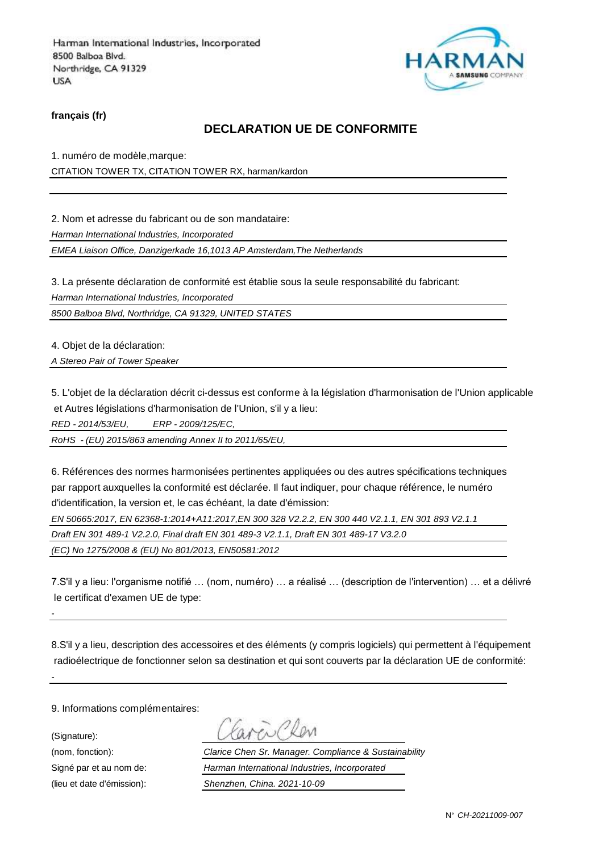

**français (fr)**

### **DECLARATION UE DE CONFORMITE**

1. numéro de modèle,marque: CITATION TOWER TX, CITATION TOWER RX, harman/kardon

2. Nom et adresse du fabricant ou de son mandataire:

*Harman International Industries, Incorporated*

*EMEA Liaison Office, Danzigerkade 16,1013 AP Amsterdam,The Netherlands*

3. La présente déclaration de conformité est établie sous la seule responsabilité du fabricant:

*Harman International Industries, Incorporated*

*8500 Balboa Blvd, Northridge, CA 91329, UNITED STATES*

4. Objet de la déclaration:

*A Stereo Pair of Tower Speaker* 

5. L'objet de la déclaration décrit ci-dessus est conforme à la législation d'harmonisation de l'Union applicable et Autres législations d'harmonisation de l'Union, s'il y a lieu:

*RED - 2014/53/EU, ERP - 2009/125/EC,*

*RoHS - (EU) 2015/863 amending Annex II to 2011/65/EU,*

6. Références des normes harmonisées pertinentes appliquées ou des autres spécifications techniques par rapport auxquelles la conformité est déclarée. Il faut indiquer, pour chaque référence, le numéro d'identification, la version et, le cas échéant, la date d'émission:

*EN 50665:2017, EN 62368-1:2014+A11:2017,EN 300 328 V2.2.2, EN 300 440 V2.1.1, EN 301 893 V2.1.1* 

*Draft EN 301 489-1 V2.2.0, Final draft EN 301 489-3 V2.1.1, Draft EN 301 489-17 V3.2.0* 

*(EC) No 1275/2008 & (EU) No 801/2013, EN50581:2012* 

7.S'il y a lieu: l'organisme notifié … (nom, numéro) … a réalisé … (description de l'intervention) … et a délivré le certificat d'examen UE de type:

8.S'il y a lieu, description des accessoires et des éléments (y compris logiciels) qui permettent à l'équipement radioélectrique de fonctionner selon sa destination et qui sont couverts par la déclaration UE de conformité:

9. Informations complémentaires:

(Signature):

*-*

(nom, fonction): *Clarice Chen Sr. Manager. Compliance & Sustainability* Signé par et au nom de: *Harman International Industries, Incorporated* (lieu et date d'émission): *Shenzhen, China. 2021-10-09*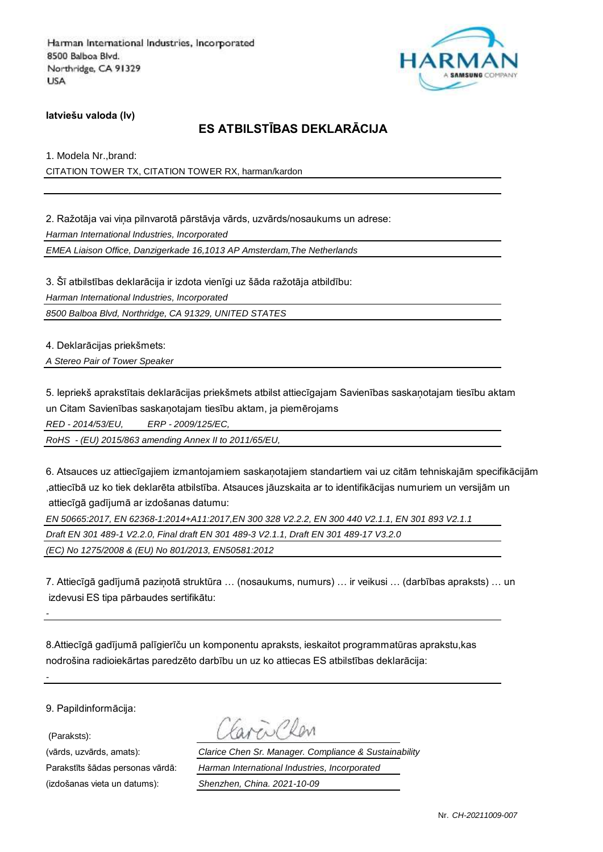

**latviešu valoda (lv)**

# **ES ATBILSTĪBAS DEKLARĀCIJA**

1. Modela Nr.,brand: CITATION TOWER TX, CITATION TOWER RX, harman/kardon

2. Ražotāja vai viņa pilnvarotā pārstāvja vārds, uzvārds/nosaukums un adrese: *Harman International Industries, Incorporated EMEA Liaison Office, Danzigerkade 16,1013 AP Amsterdam,The Netherlands*

3. Šī atbilstības deklarācija ir izdota vienīgi uz šāda ražotāja atbildību:

*Harman International Industries, Incorporated*

*8500 Balboa Blvd, Northridge, CA 91329, UNITED STATES*

4. Deklarācijas priekšmets:

*A Stereo Pair of Tower Speaker* 

5. Iepriekš aprakstītais deklarācijas priekšmets atbilst attiecīgajam Savienības saskaņotajam tiesību aktam un Citam Savienības saskaņotajam tiesību aktam, ja piemērojams

*RED - 2014/53/EU, ERP - 2009/125/EC,*

*RoHS - (EU) 2015/863 amending Annex II to 2011/65/EU,*

6. Atsauces uz attiecīgajiem izmantojamiem saskaņotajiem standartiem vai uz citām tehniskajām specifikācijām ,attiecībā uz ko tiek deklarēta atbilstība. Atsauces jāuzskaita ar to identifikācijas numuriem un versijām un attiecīgā gadījumā ar izdošanas datumu:

*EN 50665:2017, EN 62368-1:2014+A11:2017,EN 300 328 V2.2.2, EN 300 440 V2.1.1, EN 301 893 V2.1.1* 

*Draft EN 301 489-1 V2.2.0, Final draft EN 301 489-3 V2.1.1, Draft EN 301 489-17 V3.2.0* 

*(EC) No 1275/2008 & (EU) No 801/2013, EN50581:2012* 

7. Attiecīgā gadījumā paziņotā struktūra … (nosaukums, numurs) … ir veikusi … (darbības apraksts) … un izdevusi ES tipa pārbaudes sertifikātu:

8.Attiecīgā gadījumā palīgierīču un komponentu apraksts, ieskaitot programmatūras aprakstu,kas nodrošina radioiekārtas paredzēto darbību un uz ko attiecas ES atbilstības deklarācija:

9. Papildinformācija:

(Paraksts):

*-*

*-*

(vārds, uzvārds, amats): *Clarice Chen Sr. Manager. Compliance & Sustainability* Parakstīts šādas personas vārdā: *Harman International Industries, Incorporated*

(izdošanas vieta un datums): *Shenzhen, China. 2021-10-09*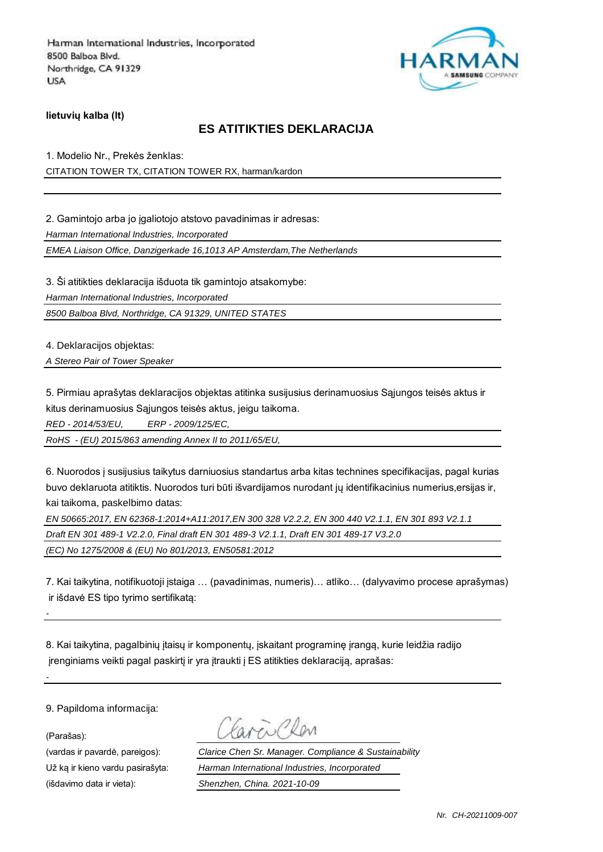

**lietuvių kalba (lt)**

## **ES ATITIKTIES DEKLARACIJA**

1. Modelio Nr., Prekės ženklas: CITATION TOWER TX, CITATION TOWER RX, harman/kardon

2. Gamintojo arba jo igaliotojo atstovo pavadinimas ir adresas:

*Harman International Industries, Incorporated*

*EMEA Liaison Office, Danzigerkade 16,1013 AP Amsterdam,The Netherlands*

3. Ši atitikties deklaracija išduota tik gamintojo atsakomybe:

*Harman International Industries, Incorporated*

*8500 Balboa Blvd, Northridge, CA 91329, UNITED STATES*

4. Deklaracijos objektas:

*A Stereo Pair of Tower Speaker* 

5. Pirmiau aprašytas deklaracijos objektas atitinka susijusius derinamuosius Sąjungos teisės aktus ir kitus derinamuosius Sąjungos teisės aktus, jeigu taikoma.

*RED - 2014/53/EU, ERP - 2009/125/EC,*

*RoHS - (EU) 2015/863 amending Annex II to 2011/65/EU,*

6. Nuorodos į susijusius taikytus darniuosius standartus arba kitas technines specifikacijas, pagal kurias buvo deklaruota atitiktis. Nuorodos turi būti išvardijamos nurodant jų identifikacinius numerius,ersijas ir, kai taikoma, paskelbimo datas:

*EN 50665:2017, EN 62368-1:2014+A11:2017,EN 300 328 V2.2.2, EN 300 440 V2.1.1, EN 301 893 V2.1.1* 

*Draft EN 301 489-1 V2.2.0, Final draft EN 301 489-3 V2.1.1, Draft EN 301 489-17 V3.2.0* 

*(EC) No 1275/2008 & (EU) No 801/2013, EN50581:2012* 

7. Kai taikytina, notifikuotoji įstaiga … (pavadinimas, numeris)… atliko… (dalyvavimo procese aprašymas) ir išdavė ES tipo tyrimo sertifikatą:

8. Kai taikytina, pagalbinių įtaisų ir komponentų, įskaitant programinę įrangą, kurie leidžia radijo įrenginiams veikti pagal paskirtį ir yra įtraukti į ES atitikties deklaraciją, aprašas:

9. Papildoma informacija:

(Parašas):

*-*

(vardas ir pavardė, pareigos): *Clarice Chen Sr. Manager. Compliance & Sustainability* Už ką ir kieno vardu pasirašyta: *Harman International Industries, Incorporated* (išdavimo data ir vieta): *Shenzhen, China. 2021-10-09*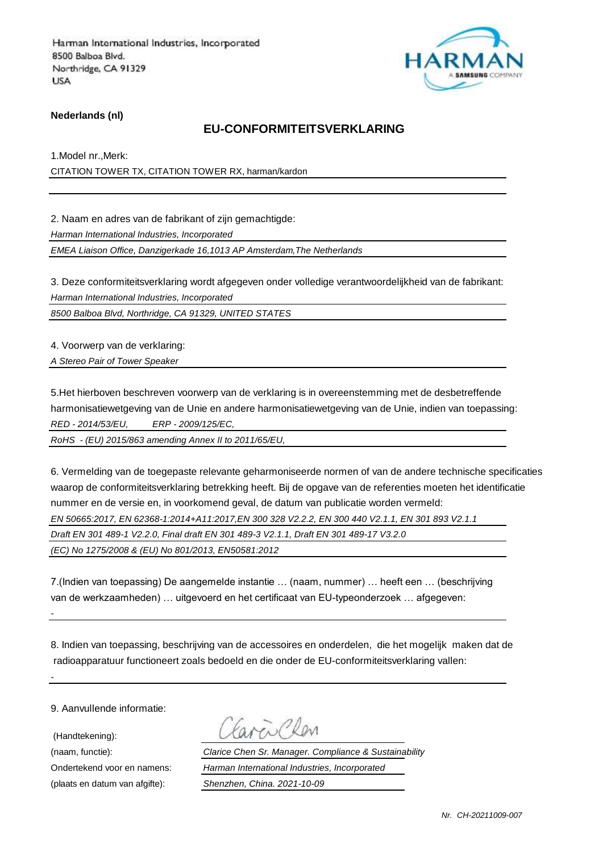

#### **Nederlands (nl)**

### **EU-CONFORMITEITSVERKLARING**

1.Model nr.,Merk: CITATION TOWER TX, CITATION TOWER RX, harman/kardon

2. Naam en adres van de fabrikant of zijn gemachtigde:

*Harman International Industries, Incorporated*

*EMEA Liaison Office, Danzigerkade 16,1013 AP Amsterdam,The Netherlands*

3. Deze conformiteitsverklaring wordt afgegeven onder volledige verantwoordelijkheid van de fabrikant: *Harman International Industries, Incorporated*

*8500 Balboa Blvd, Northridge, CA 91329, UNITED STATES*

4. Voorwerp van de verklaring:

*A Stereo Pair of Tower Speaker* 

5.Het hierboven beschreven voorwerp van de verklaring is in overeenstemming met de desbetreffende harmonisatiewetgeving van de Unie en andere harmonisatiewetgeving van de Unie, indien van toepassing: *RED - 2014/53/EU, ERP - 2009/125/EC,*

*RoHS - (EU) 2015/863 amending Annex II to 2011/65/EU,*

6. Vermelding van de toegepaste relevante geharmoniseerde normen of van de andere technische specificaties waarop de conformiteitsverklaring betrekking heeft. Bij de opgave van de referenties moeten het identificatie nummer en de versie en, in voorkomend geval, de datum van publicatie worden vermeld:

*EN 50665:2017, EN 62368-1:2014+A11:2017,EN 300 328 V2.2.2, EN 300 440 V2.1.1, EN 301 893 V2.1.1* 

*Draft EN 301 489-1 V2.2.0, Final draft EN 301 489-3 V2.1.1, Draft EN 301 489-17 V3.2.0* 

*(EC) No 1275/2008 & (EU) No 801/2013, EN50581:2012* 

7.(Indien van toepassing) De aangemelde instantie … (naam, nummer) … heeft een … (beschrijving van de werkzaamheden) … uitgevoerd en het certificaat van EU-typeonderzoek … afgegeven:

8. Indien van toepassing, beschrijving van de accessoires en onderdelen, die het mogelijk maken dat de radioapparatuur functioneert zoals bedoeld en die onder de EU-conformiteitsverklaring vallen:

9. Aanvullende informatie:

(Handtekening):

*-*

*-*

(naam, functie): *Clarice Chen Sr. Manager. Compliance & Sustainability* Ondertekend voor en namens: *Harman International Industries, Incorporated* (plaats en datum van afgifte): *Shenzhen, China. 2021-10-09*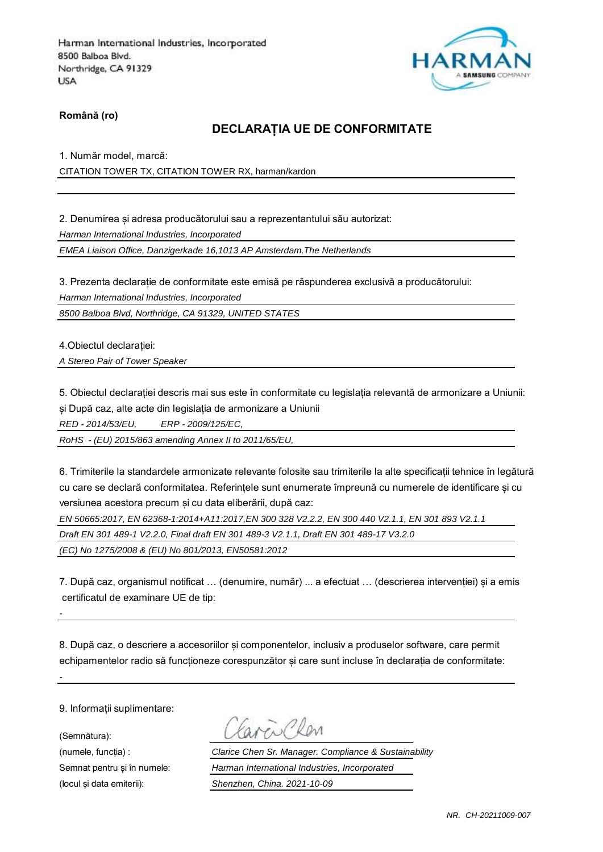

**Română (ro)**

### **DECLARAȚIA UE DE CONFORMITATE**

1. Număr model, marcă: CITATION TOWER TX, CITATION TOWER RX, harman/kardon

2. Denumirea și adresa producătorului sau a reprezentantului său autorizat: *Harman International Industries, Incorporated EMEA Liaison Office, Danzigerkade 16,1013 AP Amsterdam,The Netherlands*

3. Prezenta declarație de conformitate este emisă pe răspunderea exclusivă a producătorului:

*Harman International Industries, Incorporated*

*8500 Balboa Blvd, Northridge, CA 91329, UNITED STATES*

4.Obiectul declarației:

*A Stereo Pair of Tower Speaker* 

5. Obiectul declarației descris mai sus este în conformitate cu legislația relevantă de armonizare a Uniunii: și După caz, alte acte din legislația de armonizare a Uniunii

*RED - 2014/53/EU, ERP - 2009/125/EC,*

*RoHS - (EU) 2015/863 amending Annex II to 2011/65/EU,*

6. Trimiterile la standardele armonizate relevante folosite sau trimiterile la alte specificații tehnice în legătură cu care se declară conformitatea. Referințele sunt enumerate împreună cu numerele de identificare și cu versiunea acestora precum și cu data eliberării, după caz:

*EN 50665:2017, EN 62368-1:2014+A11:2017,EN 300 328 V2.2.2, EN 300 440 V2.1.1, EN 301 893 V2.1.1* 

*Draft EN 301 489-1 V2.2.0, Final draft EN 301 489-3 V2.1.1, Draft EN 301 489-17 V3.2.0* 

*(EC) No 1275/2008 & (EU) No 801/2013, EN50581:2012* 

7. După caz, organismul notificat … (denumire, număr) ... a efectuat … (descrierea intervenției) și a emis certificatul de examinare UE de tip:

8. După caz, o descriere a accesoriilor și componentelor, inclusiv a produselor software, care permit echipamentelor radio să functioneze corespunzător și care sunt incluse în declarația de conformitate:

9. Informații suplimentare:

(Semnătura):

*-*

(numele, funcția) : *Clarice Chen Sr. Manager. Compliance & Sustainability* Semnat pentru și în numele: *Harman International Industries, Incorporated* (locul și data emiterii): *Shenzhen, China. 2021-10-09*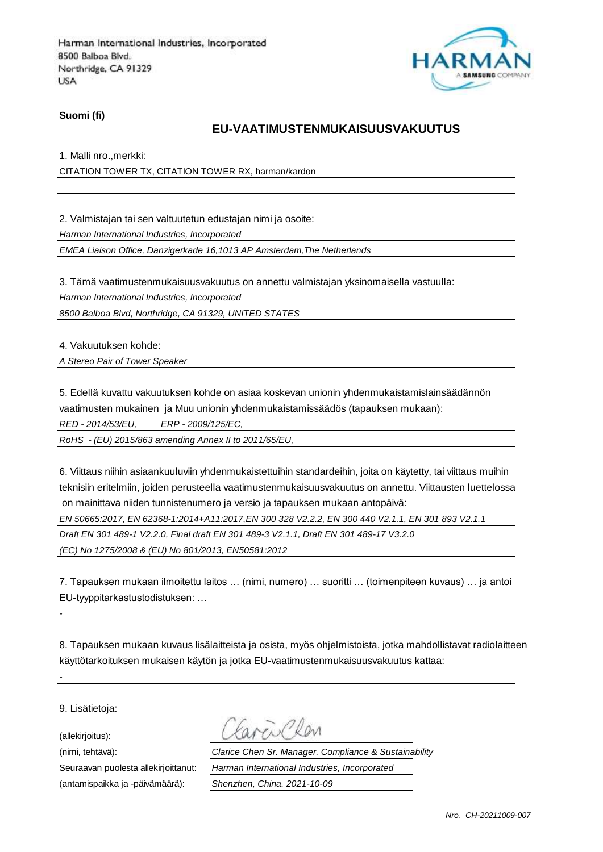

**Suomi (fi)**

## **EU-VAATIMUSTENMUKAISUUSVAKUUTUS**

1. Malli nro.,merkki:

CITATION TOWER TX, CITATION TOWER RX, harman/kardon

2. Valmistajan tai sen valtuutetun edustajan nimi ja osoite:

*Harman International Industries, Incorporated*

*EMEA Liaison Office, Danzigerkade 16,1013 AP Amsterdam,The Netherlands*

3. Tämä vaatimustenmukaisuusvakuutus on annettu valmistajan yksinomaisella vastuulla:

*Harman International Industries, Incorporated*

*8500 Balboa Blvd, Northridge, CA 91329, UNITED STATES*

4. Vakuutuksen kohde:

*A Stereo Pair of Tower Speaker* 

5. Edellä kuvattu vakuutuksen kohde on asiaa koskevan unionin yhdenmukaistamislainsäädännön vaatimusten mukainen ja Muu unionin yhdenmukaistamissäädös (tapauksen mukaan):

*RED - 2014/53/EU, ERP - 2009/125/EC,*

*RoHS - (EU) 2015/863 amending Annex II to 2011/65/EU,*

6. Viittaus niihin asiaankuuluviin yhdenmukaistettuihin standardeihin, joita on käytetty, tai viittaus muihin teknisiin eritelmiin, joiden perusteella vaatimustenmukaisuusvakuutus on annettu. Viittausten luettelossa on mainittava niiden tunnistenumero ja versio ja tapauksen mukaan antopäivä:

*EN 50665:2017, EN 62368-1:2014+A11:2017,EN 300 328 V2.2.2, EN 300 440 V2.1.1, EN 301 893 V2.1.1* 

*Draft EN 301 489-1 V2.2.0, Final draft EN 301 489-3 V2.1.1, Draft EN 301 489-17 V3.2.0* 

*(EC) No 1275/2008 & (EU) No 801/2013, EN50581:2012* 

7. Tapauksen mukaan ilmoitettu laitos … (nimi, numero) … suoritti … (toimenpiteen kuvaus) … ja antoi EU-tyyppitarkastustodistuksen: …

8. Tapauksen mukaan kuvaus lisälaitteista ja osista, myös ohjelmistoista, jotka mahdollistavat radiolaitteen käyttötarkoituksen mukaisen käytön ja jotka EU-vaatimustenmukaisuusvakuutus kattaa:

9. Lisätietoja:

*-*

*-*

(allekirjoitus):

(antamispaikka ja -päivämäärä): *Shenzhen, China. 2021-10-09*

(nimi, tehtävä): *Clarice Chen Sr. Manager. Compliance & Sustainability* Seuraavan puolesta allekirjoittanut: *Harman International Industries, Incorporated*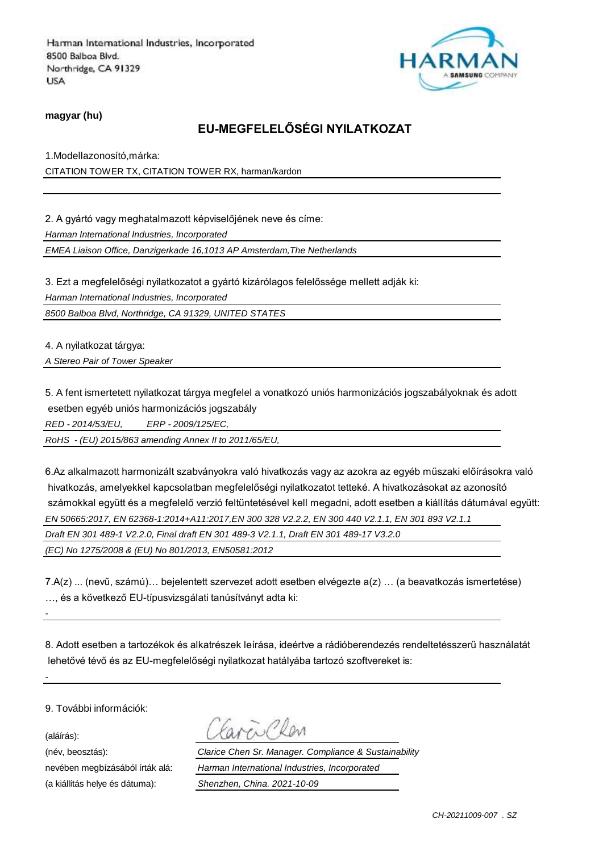

**magyar (hu)**

## **EU-MEGFELELŐSÉGI NYILATKOZAT**

1.Modellazonosító,márka: CITATION TOWER TX, CITATION TOWER RX, harman/kardon

2. A gyártó vagy meghatalmazott képviselőjének neve és címe:

*Harman International Industries, Incorporated*

*EMEA Liaison Office, Danzigerkade 16,1013 AP Amsterdam,The Netherlands*

3. Ezt a megfelelőségi nyilatkozatot a gyártó kizárólagos felelőssége mellett adják ki:

*Harman International Industries, Incorporated*

*8500 Balboa Blvd, Northridge, CA 91329, UNITED STATES*

4. A nyilatkozat tárgya:

*A Stereo Pair of Tower Speaker* 

5. A fent ismertetett nyilatkozat tárgya megfelel a vonatkozó uniós harmonizációs jogszabályoknak és adott esetben egyéb uniós harmonizációs jogszabály

*RED - 2014/53/EU, ERP - 2009/125/EC,*

*RoHS - (EU) 2015/863 amending Annex II to 2011/65/EU,*

6.Az alkalmazott harmonizált szabványokra való hivatkozás vagy az azokra az egyéb műszaki előírásokra való hivatkozás, amelyekkel kapcsolatban megfelelőségi nyilatkozatot tetteké. A hivatkozásokat az azonosító számokkal együtt és a megfelelő verzió feltüntetésével kell megadni, adott esetben a kiállítás dátumával együtt: *EN 50665:2017, EN 62368-1:2014+A11:2017,EN 300 328 V2.2.2, EN 300 440 V2.1.1, EN 301 893 V2.1.1 Draft EN 301 489-1 V2.2.0, Final draft EN 301 489-3 V2.1.1, Draft EN 301 489-17 V3.2.0* 

*(EC) No 1275/2008 & (EU) No 801/2013, EN50581:2012* 

7.A(z) ... (nevű, számú)… bejelentett szervezet adott esetben elvégezte a(z) … (a beavatkozás ismertetése) …, és a következő EU-típusvizsgálati tanúsítványt adta ki:

8. Adott esetben a tartozékok és alkatrészek leírása, ideértve a rádióberendezés rendeltetésszerű használatát lehetővé tévő és az EU-megfelelőségi nyilatkozat hatályába tartozó szoftvereket is:

9. További információk:

(aláírás):

*-*

*-*

(a kiállítás helye és dátuma): *Shenzhen, China. 2021-10-09*

(név, beosztás): *Clarice Chen Sr. Manager. Compliance & Sustainability* nevében megbízásából írták alá: *Harman International Industries, Incorporated*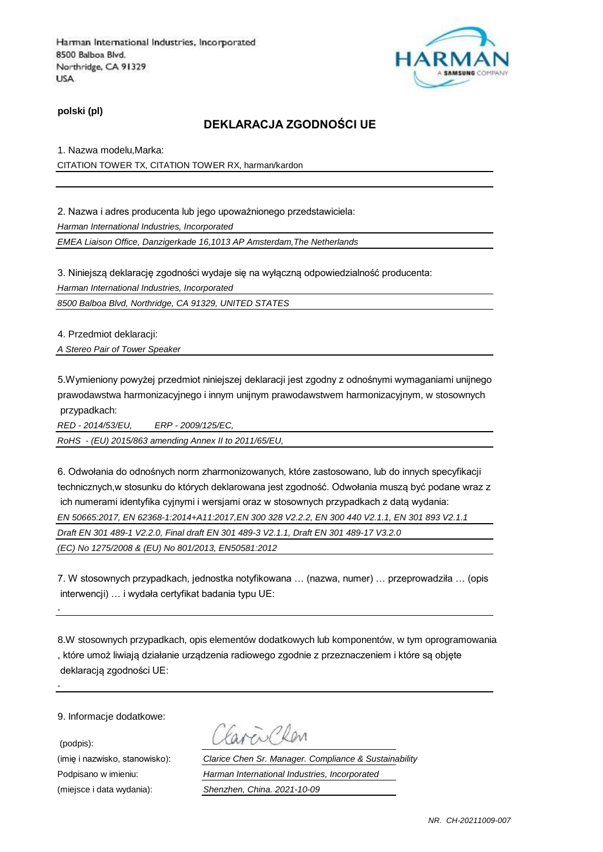

**polski (pl)**

### **DEKLARACJA ZGODNOŚCI UE**

1. Nazwa modelu,Marka: CITATION TOWER TX, CITATION TOWER RX, harman/kardon

2. Nazwa i adres producenta lub jego upoważnionego przedstawiciela:

*Harman International Industries, Incorporated*

*EMEA Liaison Office, Danzigerkade 16,1013 AP Amsterdam,The Netherlands*

3. Niniejszą deklarację zgodności wydaje się na wyłączną odpowiedzialność producenta:

*Harman International Industries, Incorporated*

*8500 Balboa Blvd, Northridge, CA 91329, UNITED STATES*

4. Przedmiot deklaracji:

*A Stereo Pair of Tower Speaker* 

5.Wymieniony powyżej przedmiot niniejszej deklaracji jest zgodny z odnośnymi wymaganiami unijnego prawodawstwa harmonizacyjnego i innym unijnym prawodawstwem harmonizacyjnym, w stosownych przypadkach:

*RED - 2014/53/EU, ERP - 2009/125/EC,*

*RoHS - (EU) 2015/863 amending Annex II to 2011/65/EU,*

6. Odwołania do odnośnych norm zharmonizowanych, które zastosowano, lub do innych specyfikacji technicznych,w stosunku do których deklarowana jest zgodność. Odwołania muszą być podane wraz z ich numerami identyfika cyjnymi i wersjami oraz w stosownych przypadkach z datą wydania: *EN 50665:2017, EN 62368-1:2014+A11:2017,EN 300 328 V2.2.2, EN 300 440 V2.1.1, EN 301 893 V2.1.1* 

*Draft EN 301 489-1 V2.2.0, Final draft EN 301 489-3 V2.1.1, Draft EN 301 489-17 V3.2.0* 

*(EC) No 1275/2008 & (EU) No 801/2013, EN50581:2012* 

7. W stosownych przypadkach, jednostka notyfikowana … (nazwa, numer) … przeprowadziła … (opis interwencji) … i wydała certyfikat badania typu UE:

8.W stosownych przypadkach, opis elementów dodatkowych lub komponentów, w tym oprogramowania , które umoż liwiają działanie urządzenia radiowego zgodnie z przeznaczeniem i które są objęte deklaracją zgodności UE:

9. Informacje dodatkowe:

(podpis):

*-*

Carrio CRen

(imię i nazwisko, stanowisko): *Clarice Chen Sr. Manager. Compliance & Sustainability* Podpisano w imieniu: *Harman International Industries, Incorporated* (miejsce i data wydania): *Shenzhen, China. 2021-10-09*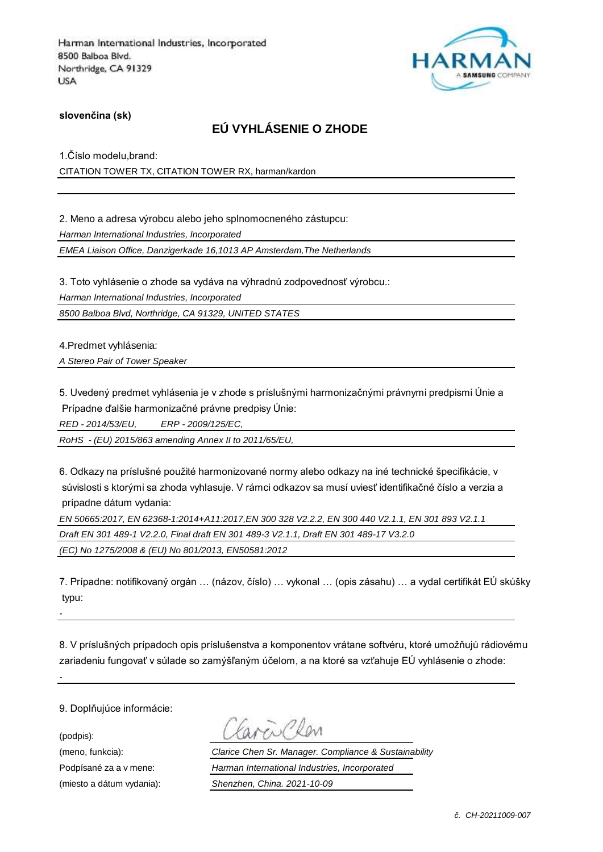

**slovenčina (sk)**

# **EÚ VYHLÁSENIE O ZHODE**

1.Číslo modelu,brand: CITATION TOWER TX, CITATION TOWER RX, harman/kardon

2. Meno a adresa výrobcu alebo jeho splnomocneného zástupcu:

*Harman International Industries, Incorporated*

*EMEA Liaison Office, Danzigerkade 16,1013 AP Amsterdam,The Netherlands*

3. Toto vyhlásenie o zhode sa vydáva na výhradnú zodpovednosť výrobcu.:

*Harman International Industries, Incorporated*

*8500 Balboa Blvd, Northridge, CA 91329, UNITED STATES*

4.Predmet vyhlásenia:

*A Stereo Pair of Tower Speaker* 

5. Uvedený predmet vyhlásenia je v zhode s príslušnými harmonizačnými právnymi predpismi Únie a Prípadne ďalšie harmonizačné právne predpisy Únie:

*RED - 2014/53/EU, ERP - 2009/125/EC,*

*RoHS - (EU) 2015/863 amending Annex II to 2011/65/EU,*

6. Odkazy na príslušné použité harmonizované normy alebo odkazy na iné technické špecifikácie, v súvislosti s ktorými sa zhoda vyhlasuje. V rámci odkazov sa musí uviesť identifikačné číslo a verzia a prípadne dátum vydania:

*EN 50665:2017, EN 62368-1:2014+A11:2017,EN 300 328 V2.2.2, EN 300 440 V2.1.1, EN 301 893 V2.1.1* 

*Draft EN 301 489-1 V2.2.0, Final draft EN 301 489-3 V2.1.1, Draft EN 301 489-17 V3.2.0* 

*(EC) No 1275/2008 & (EU) No 801/2013, EN50581:2012* 

7. Prípadne: notifikovaný orgán … (názov, číslo) … vykonal … (opis zásahu) … a vydal certifikát EÚ skúšky typu:

8. V príslušných prípadoch opis príslušenstva a komponentov vrátane softvéru, ktoré umožňujú rádiovému zariadeniu fungovať v súlade so zamýšľaným účelom, a na ktoré sa vzťahuje EÚ vyhlásenie o zhode:

9. Doplňujúce informácie:

(podpis):

*-*

(meno, funkcia): *Clarice Chen Sr. Manager. Compliance & Sustainability* Podpísané za a v mene: *Harman International Industries, Incorporated* (miesto a dátum vydania): *Shenzhen, China. 2021-10-09*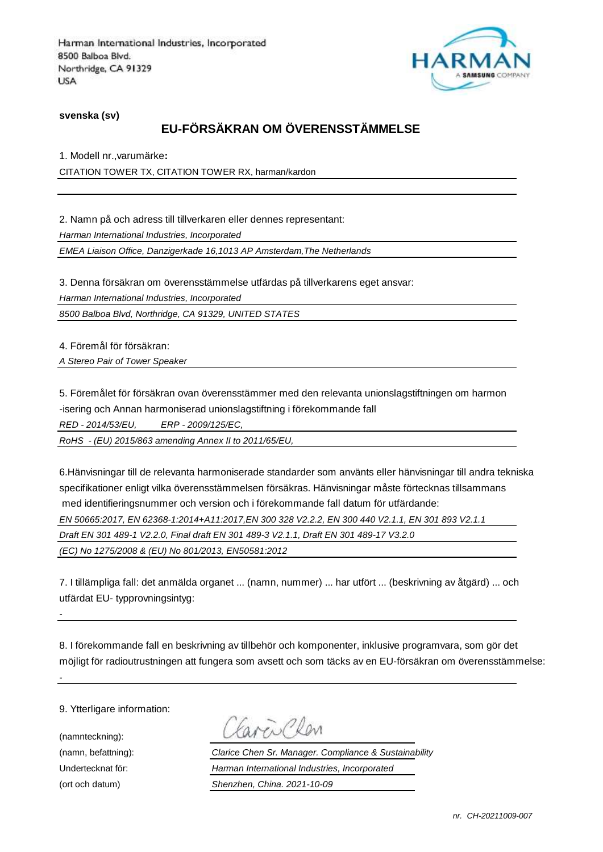

**svenska (sv)**

# **EU-FÖRSÄKRAN OM ÖVERENSSTÄMMELSE**

1. Modell nr.,varumärke**:**

CITATION TOWER TX, CITATION TOWER RX, harman/kardon

2. Namn på och adress till tillverkaren eller dennes representant: *Harman International Industries, Incorporated EMEA Liaison Office, Danzigerkade 16,1013 AP Amsterdam,The Netherlands*

3. Denna försäkran om överensstämmelse utfärdas på tillverkarens eget ansvar:

*Harman International Industries, Incorporated*

*8500 Balboa Blvd, Northridge, CA 91329, UNITED STATES*

4. Föremål för försäkran:

*A Stereo Pair of Tower Speaker* 

5. Föremålet för försäkran ovan överensstämmer med den relevanta unionslagstiftningen om harmon -isering och Annan harmoniserad unionslagstiftning i förekommande fall

*RED - 2014/53/EU, ERP - 2009/125/EC,*

*RoHS - (EU) 2015/863 amending Annex II to 2011/65/EU,*

6.Hänvisningar till de relevanta harmoniserade standarder som använts eller hänvisningar till andra tekniska specifikationer enligt vilka överensstämmelsen försäkras. Hänvisningar måste förtecknas tillsammans med identifieringsnummer och version och i förekommande fall datum för utfärdande:

*EN 50665:2017, EN 62368-1:2014+A11:2017,EN 300 328 V2.2.2, EN 300 440 V2.1.1, EN 301 893 V2.1.1* 

*Draft EN 301 489-1 V2.2.0, Final draft EN 301 489-3 V2.1.1, Draft EN 301 489-17 V3.2.0* 

*(EC) No 1275/2008 & (EU) No 801/2013, EN50581:2012* 

7. I tillämpliga fall: det anmälda organet ... (namn, nummer) ... har utfört ... (beskrivning av åtgärd) ... och utfärdat EU- typprovningsintyg:

8. I förekommande fall en beskrivning av tillbehör och komponenter, inklusive programvara, som gör det möjligt för radioutrustningen att fungera som avsett och som täcks av en EU-försäkran om överensstämmelse:

9. Ytterligare information:

(namnteckning):

*-*

(namn, befattning): *Clarice Chen Sr. Manager. Compliance & Sustainability* Undertecknat för: *Harman International Industries, Incorporated* (ort och datum) *Shenzhen, China. 2021-10-09*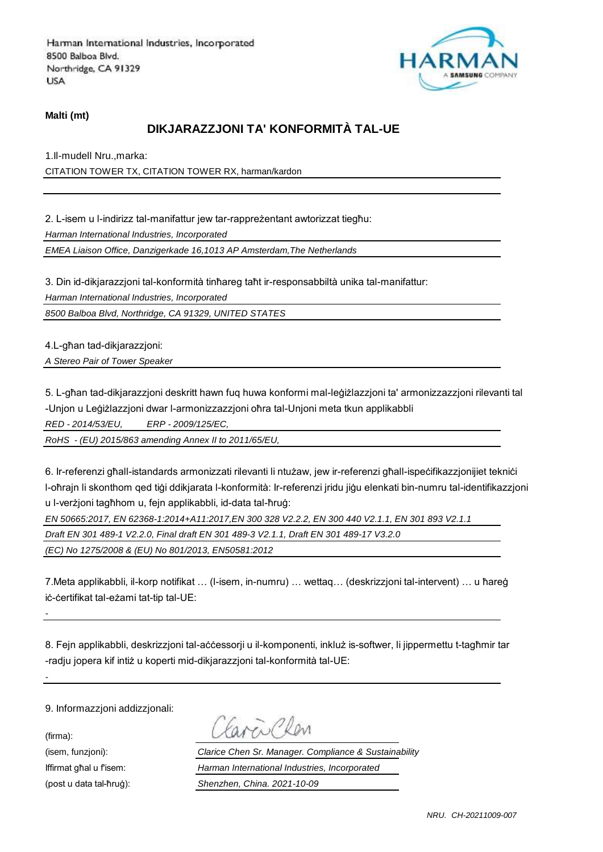

#### **Malti (mt)**

### **DIKJARAZZJONI TA' KONFORMITÀ TAL-UE**

1.Il-mudell Nru.,marka: CITATION TOWER TX, CITATION TOWER RX, harman/kardon

2. L-isem u l-indirizz tal-manifattur jew tar-rappreżentant awtorizzat tiegħu: *Harman International Industries, Incorporated*

*EMEA Liaison Office, Danzigerkade 16,1013 AP Amsterdam,The Netherlands*

3. Din id-dikjarazzjoni tal-konformità tinħareg taħt ir-responsabbiltà unika tal-manifattur:

*Harman International Industries, Incorporated*

*8500 Balboa Blvd, Northridge, CA 91329, UNITED STATES*

4.L-għan tad-dikjarazzjoni:

*A Stereo Pair of Tower Speaker* 

5. L-għan tad-dikjarazzjoni deskritt hawn fuq huwa konformi mal-leġiżlazzjoni ta' armonizzazzjoni rilevanti tal -Unjon u Leġiżlazzjoni dwar l-armonizzazzjoni oħra tal-Unjoni meta tkun applikabbli

*RED - 2014/53/EU, ERP - 2009/125/EC,*

*RoHS - (EU) 2015/863 amending Annex II to 2011/65/EU,*

6. Ir-referenzi għall-istandards armonizzati rilevanti li ntużaw, jew ir-referenzi għall-ispeċifikazzjonijiet tekniċi l-oħrajn li skonthom qed tiġi ddikjarata l-konformità: Ir-referenzi jridu jiġu elenkati bin-numru tal-identifikazzjoni u l-verżjoni tagħhom u, fejn applikabbli, id-data tal-ħruġ:

*EN 50665:2017, EN 62368-1:2014+A11:2017,EN 300 328 V2.2.2, EN 300 440 V2.1.1, EN 301 893 V2.1.1* 

*Draft EN 301 489-1 V2.2.0, Final draft EN 301 489-3 V2.1.1, Draft EN 301 489-17 V3.2.0* 

*(EC) No 1275/2008 & (EU) No 801/2013, EN50581:2012* 

7.Meta applikabbli, il-korp notifikat … (l-isem, in-numru) … wettaq… (deskrizzjoni tal-intervent) … u ħareġ iċ-ċertifikat tal-eżami tat-tip tal-UE:

8. Fejn applikabbli, deskrizzjoni tal-aċċessorji u il-komponenti, inkluż is-softwer, li jippermettu t-tagħmir tar -radju jopera kif intiż u koperti mid-dikjarazzjoni tal-konformità tal-UE:

9. Informazzjoni addizzjonali:

(firma):

*-*

 $\overline{\mathcal{M}}$ 

(isem, funzjoni): *Clarice Chen Sr. Manager. Compliance & Sustainability* Iffirmat għal u f'isem: *Harman International Industries, Incorporated* (post u data tal-ħruġ): *Shenzhen, China. 2021-10-09*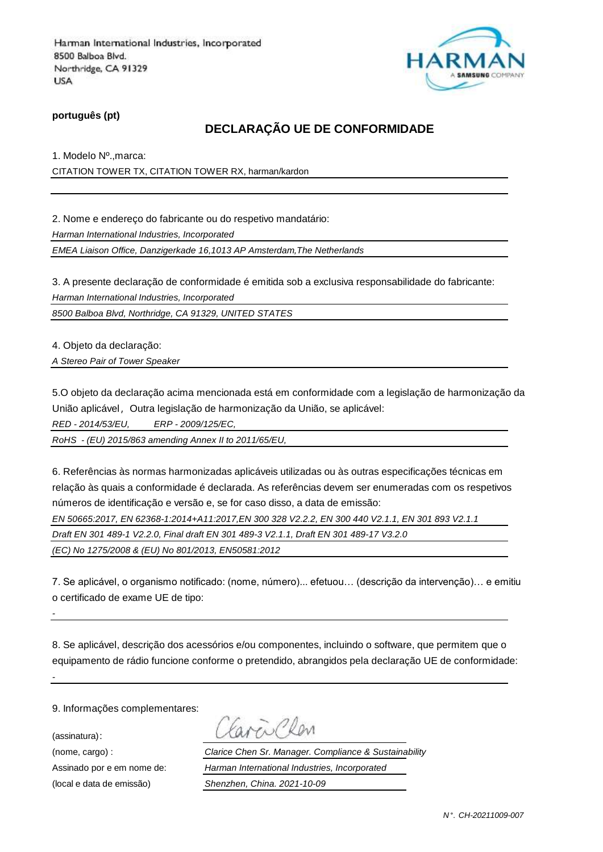

**português (pt)**

# **DECLARAÇÃO UE DE CONFORMIDADE**

1. Modelo Nº.,marca: CITATION TOWER TX, CITATION TOWER RX, harman/kardon

2. Nome e endereço do fabricante ou do respetivo mandatário:

*Harman International Industries, Incorporated*

*EMEA Liaison Office, Danzigerkade 16,1013 AP Amsterdam,The Netherlands*

3. A presente declaração de conformidade é emitida sob a exclusiva responsabilidade do fabricante: *Harman International Industries, Incorporated*

*8500 Balboa Blvd, Northridge, CA 91329, UNITED STATES*

4. Objeto da declaração:

*A Stereo Pair of Tower Speaker* 

5.O objeto da declaração acima mencionada está em conformidade com a legislação de harmonização da União aplicável, Outra legislação de harmonização da União, se aplicável:

*RED - 2014/53/EU, ERP - 2009/125/EC,*

*RoHS - (EU) 2015/863 amending Annex II to 2011/65/EU,*

6. Referências às normas harmonizadas aplicáveis utilizadas ou às outras especificações técnicas em relação às quais a conformidade é declarada. As referências devem ser enumeradas com os respetivos números de identificação e versão e, se for caso disso, a data de emissão:

*EN 50665:2017, EN 62368-1:2014+A11:2017,EN 300 328 V2.2.2, EN 300 440 V2.1.1, EN 301 893 V2.1.1* 

*Draft EN 301 489-1 V2.2.0, Final draft EN 301 489-3 V2.1.1, Draft EN 301 489-17 V3.2.0* 

*(EC) No 1275/2008 & (EU) No 801/2013, EN50581:2012* 

7. Se aplicável, o organismo notificado: (nome, número)... efetuou… (descrição da intervenção)… e emitiu o certificado de exame UE de tipo:

8. Se aplicável, descrição dos acessórios e/ou componentes, incluindo o software, que permitem que o equipamento de rádio funcione conforme o pretendido, abrangidos pela declaração UE de conformidade:

9. Informações complementares:

(assinatura):

*-*

(nome, cargo) : *Clarice Chen Sr. Manager. Compliance & Sustainability* Assinado por e em nome de: *Harman International Industries, Incorporated* (local e data de emissão) *Shenzhen, China. 2021-10-09*